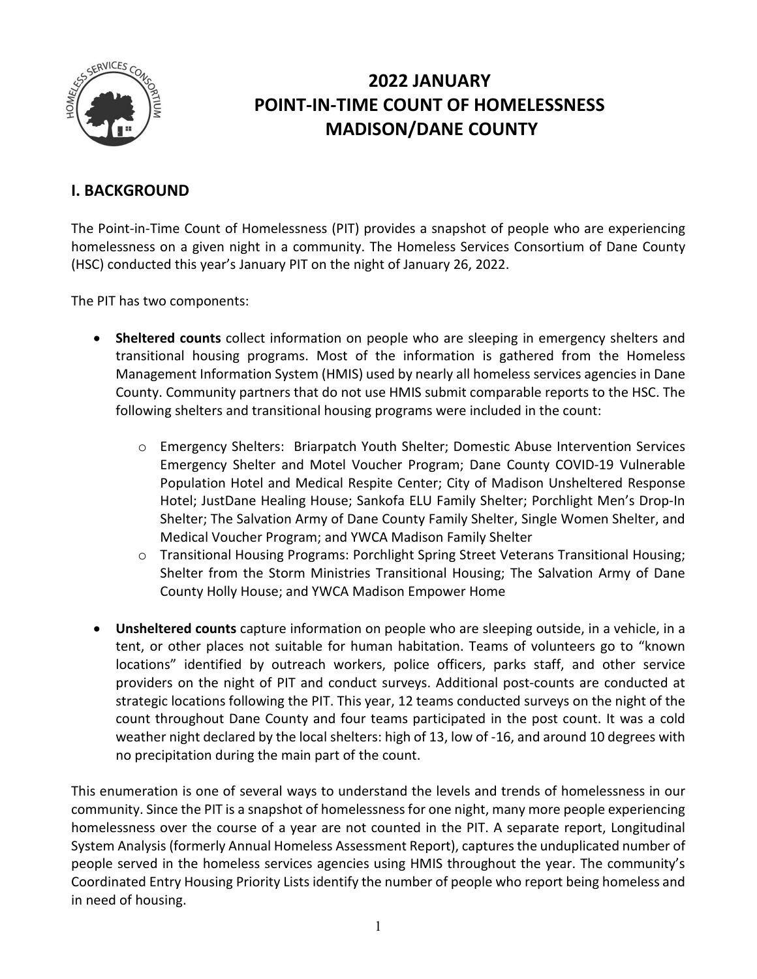

# **2022 JANUARY POINT-IN-TIME COUNT OF HOMELESSNESS MADISON/DANE COUNTY**

# **I. BACKGROUND**

The Point-in-Time Count of Homelessness (PIT) provides a snapshot of people who are experiencing homelessness on a given night in a community. The Homeless Services Consortium of Dane County (HSC) conducted this year's January PIT on the night of January 26, 2022.

The PIT has two components:

- **Sheltered counts** collect information on people who are sleeping in emergency shelters and transitional housing programs. Most of the information is gathered from the Homeless Management Information System (HMIS) used by nearly all homeless services agencies in Dane County. Community partners that do not use HMIS submit comparable reports to the HSC. The following shelters and transitional housing programs were included in the count:
	- o Emergency Shelters: Briarpatch Youth Shelter; Domestic Abuse Intervention Services Emergency Shelter and Motel Voucher Program; Dane County COVID-19 Vulnerable Population Hotel and Medical Respite Center; City of Madison Unsheltered Response Hotel; JustDane Healing House; Sankofa ELU Family Shelter; Porchlight Men's Drop-In Shelter; The Salvation Army of Dane County Family Shelter, Single Women Shelter, and Medical Voucher Program; and YWCA Madison Family Shelter
	- o Transitional Housing Programs: Porchlight Spring Street Veterans Transitional Housing; Shelter from the Storm Ministries Transitional Housing; The Salvation Army of Dane County Holly House; and YWCA Madison Empower Home
- **Unsheltered counts** capture information on people who are sleeping outside, in a vehicle, in a tent, or other places not suitable for human habitation. Teams of volunteers go to "known locations" identified by outreach workers, police officers, parks staff, and other service providers on the night of PIT and conduct surveys. Additional post-counts are conducted at strategic locations following the PIT. This year, 12 teams conducted surveys on the night of the count throughout Dane County and four teams participated in the post count. It was a cold weather night declared by the local shelters: high of 13, low of -16, and around 10 degrees with no precipitation during the main part of the count.

This enumeration is one of several ways to understand the levels and trends of homelessness in our community. Since the PIT is a snapshot of homelessness for one night, many more people experiencing homelessness over the course of a year are not counted in the PIT. A separate report, Longitudinal System Analysis (formerly Annual Homeless Assessment Report), captures the unduplicated number of people served in the homeless services agencies using HMIS throughout the year. The community's Coordinated Entry Housing Priority Lists identify the number of people who report being homeless and in need of housing.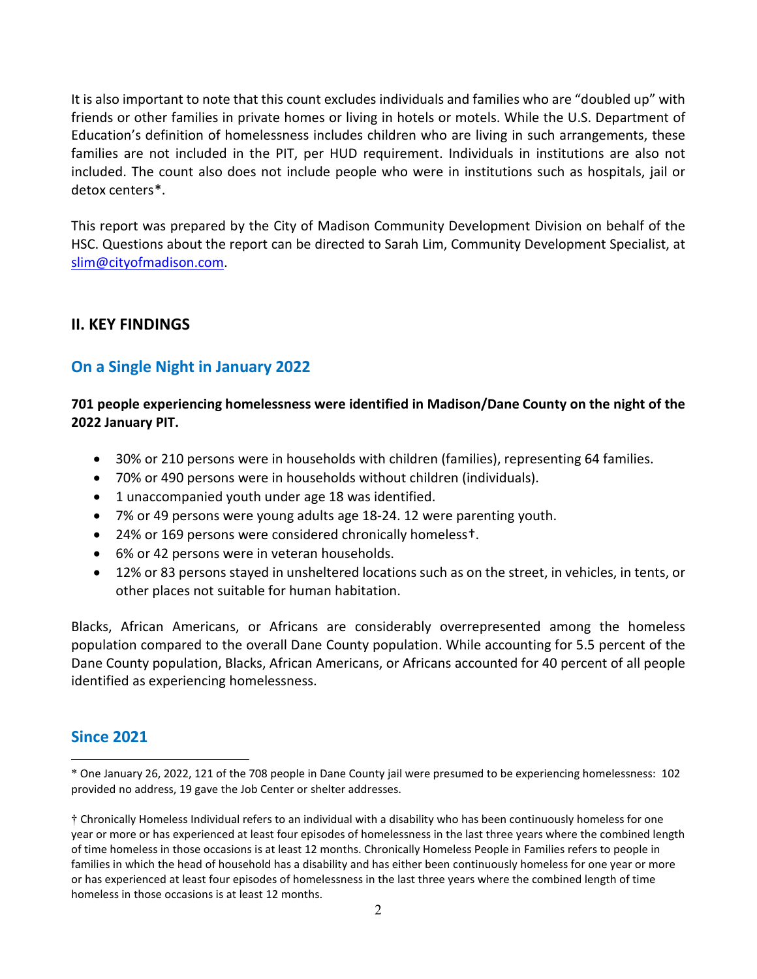It is also important to note that this count excludes individuals and families who are "doubled up" with friends or other families in private homes or living in hotels or motels. While the U.S. Department of Education's definition of homelessness includes children who are living in such arrangements, these families are not included in the PIT, per HUD requirement. Individuals in institutions are also not included. The count also does not include people who were in institutions such as hospitals, jail or detox centers[\\*.](#page-1-0)

This report was prepared by the City of Madison Community Development Division on behalf of the HSC. Questions about the report can be directed to Sarah Lim, Community Development Specialist, at [slim@cityofmadison.com.](mailto:slim@cityofmadison.com)

# **II. KEY FINDINGS**

# **On a Single Night in January 2022**

**701 people experiencing homelessness were identified in Madison/Dane County on the night of the 2022 January PIT.**

- 30% or 210 persons were in households with children (families), representing 64 families.
- 70% or 490 persons were in households without children (individuals).
- 1 unaccompanied youth under age 18 was identified.
- 7% or 49 persons were young adults age 18-24. 12 were parenting youth.
- 24% or 169 persons were considered chronically homeless[†.](#page-1-1)
- 6% or 42 persons were in veteran households.
- 12% or 83 persons stayed in unsheltered locations such as on the street, in vehicles, in tents, or other places not suitable for human habitation.

Blacks, African Americans, or Africans are considerably overrepresented among the homeless population compared to the overall Dane County population. While accounting for 5.5 percent of the Dane County population, Blacks, African Americans, or Africans accounted for 40 percent of all people identified as experiencing homelessness.

# **Since 2021**

l

<span id="page-1-0"></span><sup>\*</sup> One January 26, 2022, 121 of the 708 people in Dane County jail were presumed to be experiencing homelessness: 102 provided no address, 19 gave the Job Center or shelter addresses.

<span id="page-1-1"></span><sup>†</sup> Chronically Homeless Individual refers to an individual with a disability who has been continuously homeless for one year or more or has experienced at least four episodes of homelessness in the last three years where the combined length of time homeless in those occasions is at least 12 months. Chronically Homeless People in Families refers to people in families in which the head of household has a disability and has either been continuously homeless for one year or more or has experienced at least four episodes of homelessness in the last three years where the combined length of time homeless in those occasions is at least 12 months.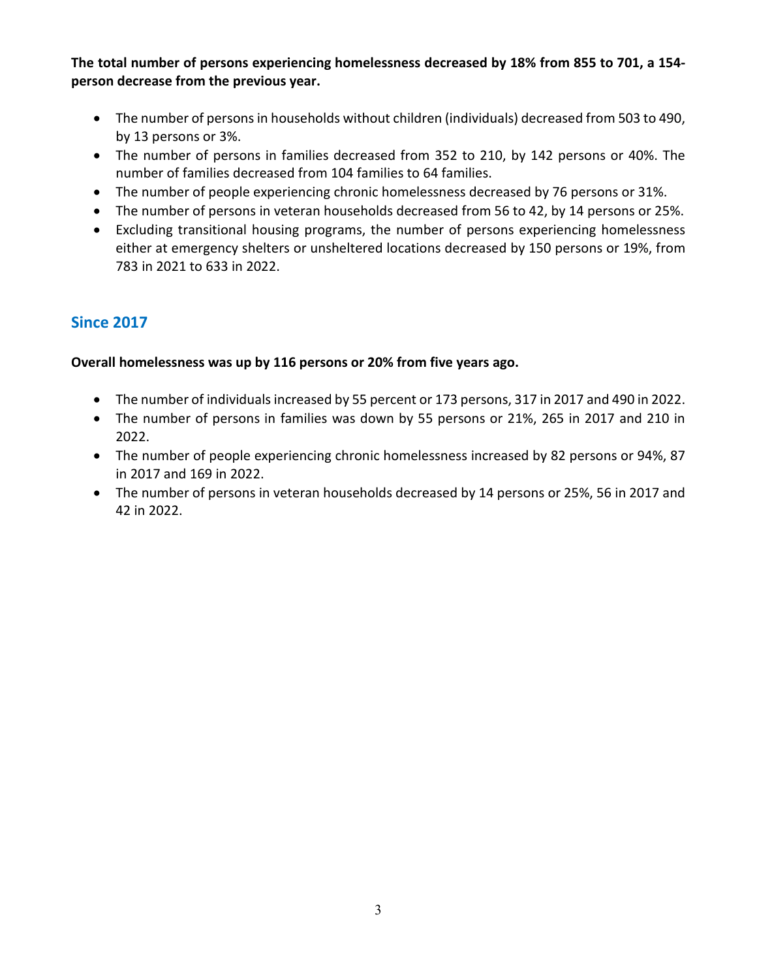**The total number of persons experiencing homelessness decreased by 18% from 855 to 701, a 154 person decrease from the previous year.**

- The number of persons in households without children (individuals) decreased from 503 to 490, by 13 persons or 3%.
- The number of persons in families decreased from 352 to 210, by 142 persons or 40%. The number of families decreased from 104 families to 64 families.
- The number of people experiencing chronic homelessness decreased by 76 persons or 31%.
- The number of persons in veteran households decreased from 56 to 42, by 14 persons or 25%.
- Excluding transitional housing programs, the number of persons experiencing homelessness either at emergency shelters or unsheltered locations decreased by 150 persons or 19%, from 783 in 2021 to 633 in 2022.

# **Since 2017**

# **Overall homelessness was up by 116 persons or 20% from five years ago.**

- The number of individuals increased by 55 percent or 173 persons, 317 in 2017 and 490 in 2022.
- The number of persons in families was down by 55 persons or 21%, 265 in 2017 and 210 in 2022.
- The number of people experiencing chronic homelessness increased by 82 persons or 94%, 87 in 2017 and 169 in 2022.
- The number of persons in veteran households decreased by 14 persons or 25%, 56 in 2017 and 42 in 2022.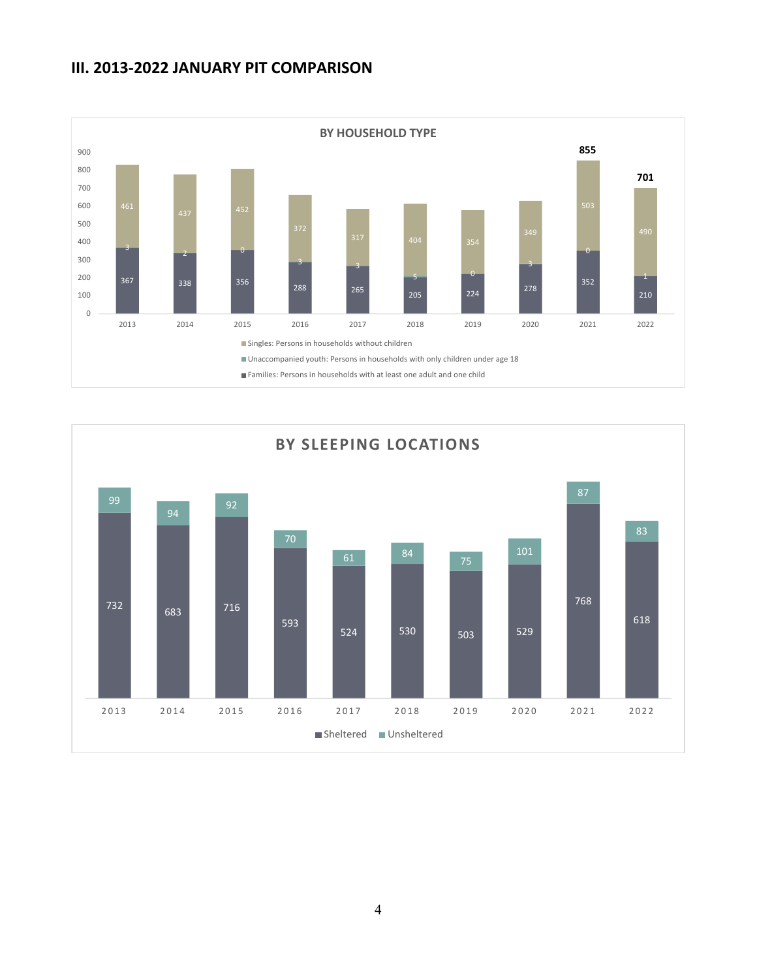# **III. 2013-2022 JANUARY PIT COMPARISON**



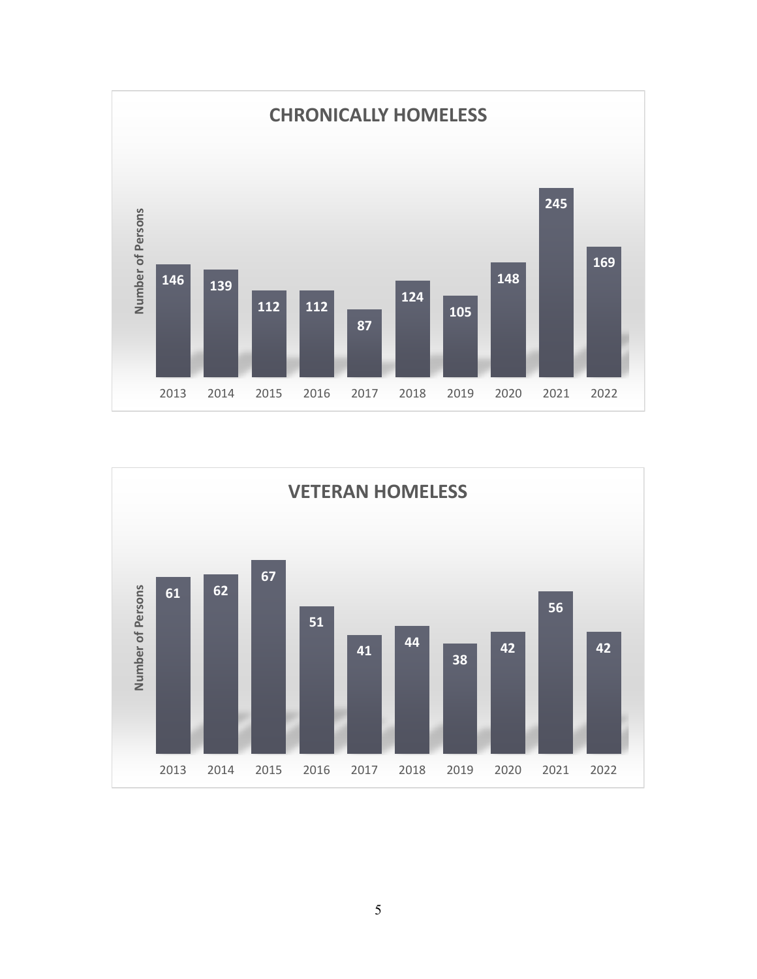

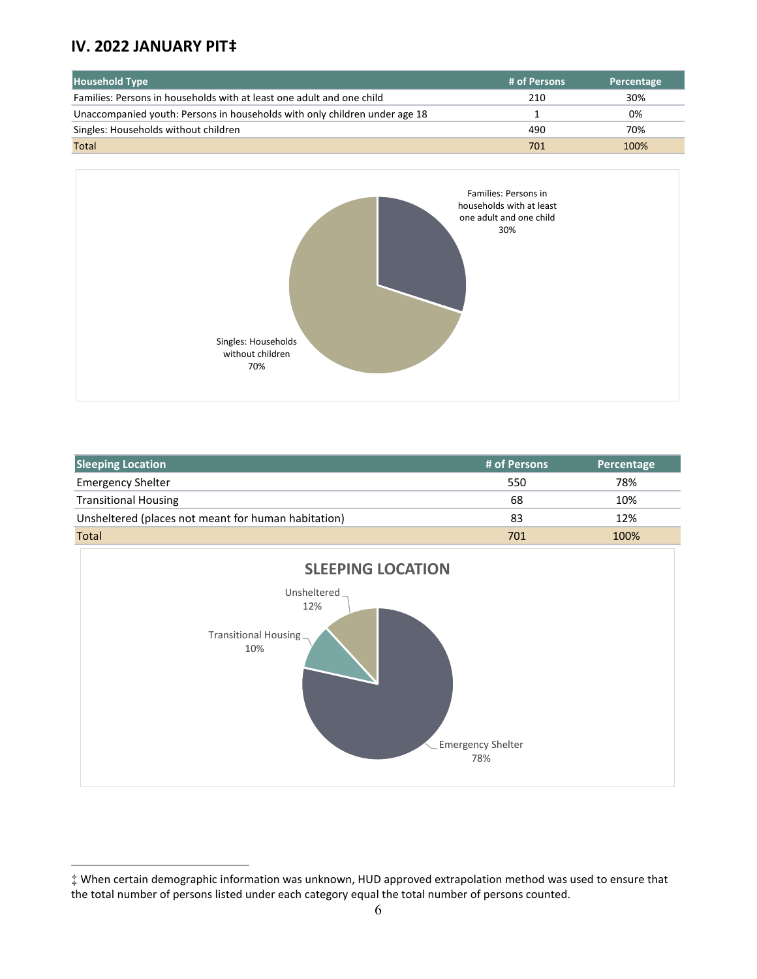# **IV. 2022 JANUARY PIT[‡](#page-5-0)**

 $\overline{a}$ 

| <b>Household Type</b>                                                      | # of Persons | Percentage |
|----------------------------------------------------------------------------|--------------|------------|
| Families: Persons in households with at least one adult and one child      | 210          | 30%        |
| Unaccompanied youth: Persons in households with only children under age 18 |              | 0%         |
| Singles: Households without children                                       | 490          | 70%        |
| <b>Total</b>                                                               | 701          | 100%       |



| <b>Sleeping Location</b>                            | # of Persons | Percentage |
|-----------------------------------------------------|--------------|------------|
| <b>Emergency Shelter</b>                            | 550          | 78%        |
| <b>Transitional Housing</b>                         | 68           | 10%        |
| Unsheltered (places not meant for human habitation) | 83           | 12%        |
| <b>Total</b>                                        | 701          | 100%       |



<span id="page-5-0"></span><sup>‡</sup> When certain demographic information was unknown, HUD approved extrapolation method was used to ensure that the total number of persons listed under each category equal the total number of persons counted.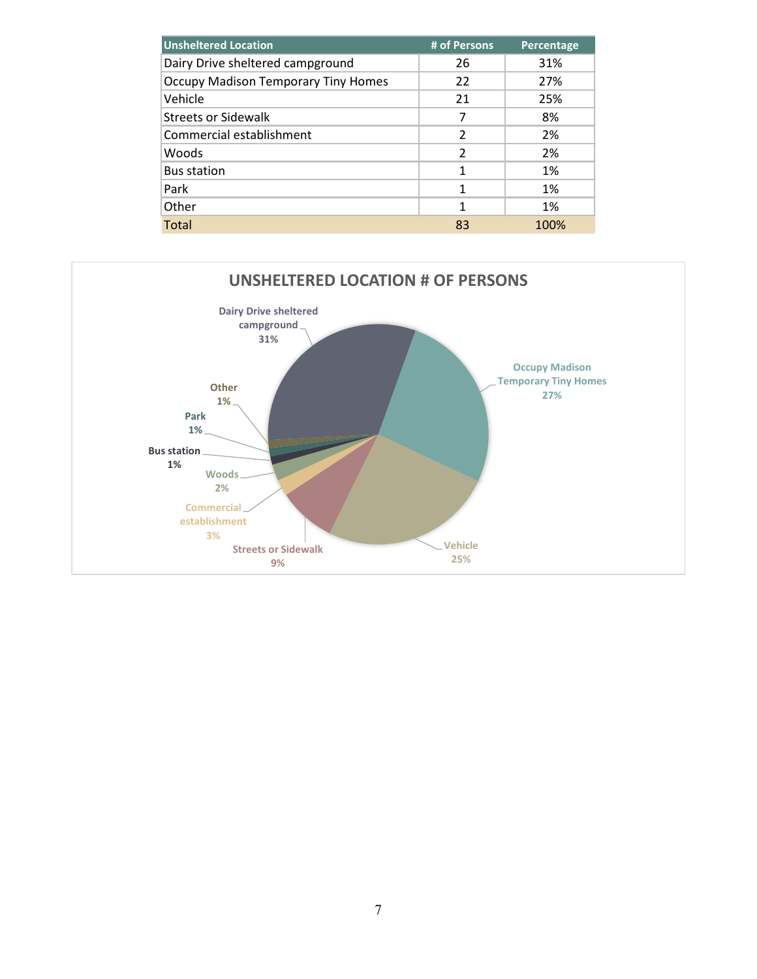| <b>Unsheltered Location</b>                | # of Persons   | Percentage |
|--------------------------------------------|----------------|------------|
| Dairy Drive sheltered campground           | 26             | 31%        |
| <b>Occupy Madison Temporary Tiny Homes</b> | 22             | 27%        |
| Vehicle                                    | 21             | 25%        |
| <b>Streets or Sidewalk</b>                 | 7              | 8%         |
| Commercial establishment                   | $\mathfrak z$  | 2%         |
| Woods                                      | $\mathfrak{p}$ | 2%         |
| <b>Bus station</b>                         | 1              | 1%         |
| Park                                       | 1              | 1%         |
| Other                                      | 1              | 1%         |
| Total                                      | 83             | 100%       |

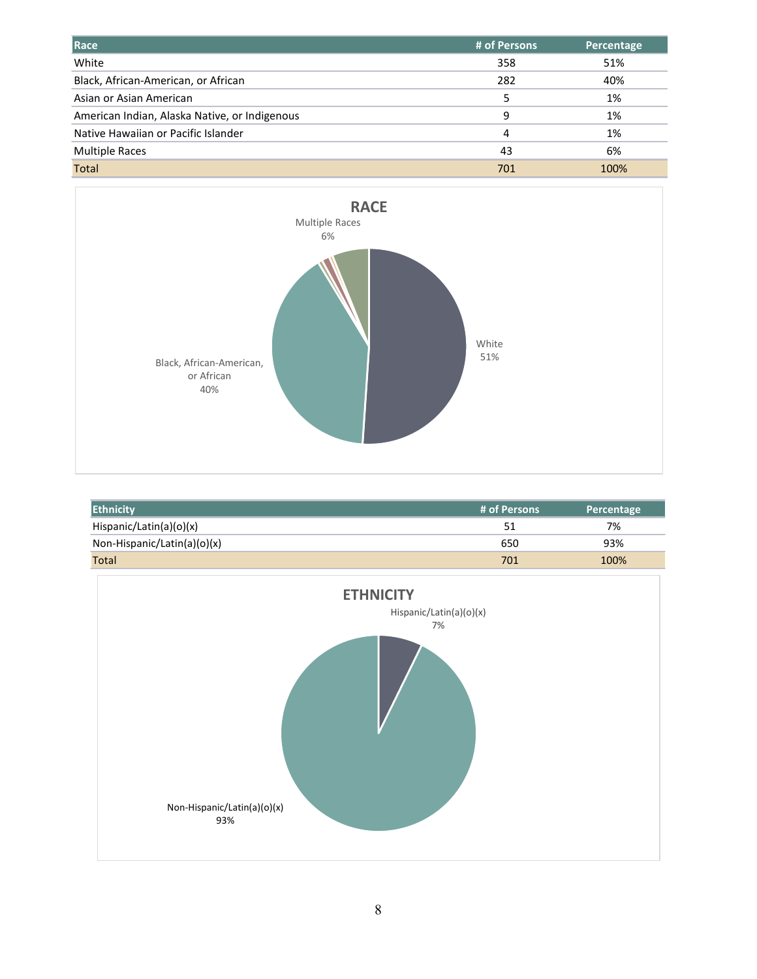| Race                                          | # of Persons | Percentage |
|-----------------------------------------------|--------------|------------|
| White                                         | 358          | 51%        |
| Black, African-American, or African           | 282          | 40%        |
| Asian or Asian American                       | 5            | 1%         |
| American Indian, Alaska Native, or Indigenous | 9            | 1%         |
| Native Hawaiian or Pacific Islander           | 4            | 1%         |
| <b>Multiple Races</b>                         | 43           | 6%         |
| <b>Total</b>                                  | 701          | 100%       |



| <b>Ethnicity</b>            | # of Persons | Percentage |
|-----------------------------|--------------|------------|
| Hispanic/Latin(a)(o)(x)     | 51           | 7%         |
| Non-Hispanic/Latin(a)(o)(x) | 650          | 93%        |
| <b>Total</b>                | 701          | 100%       |

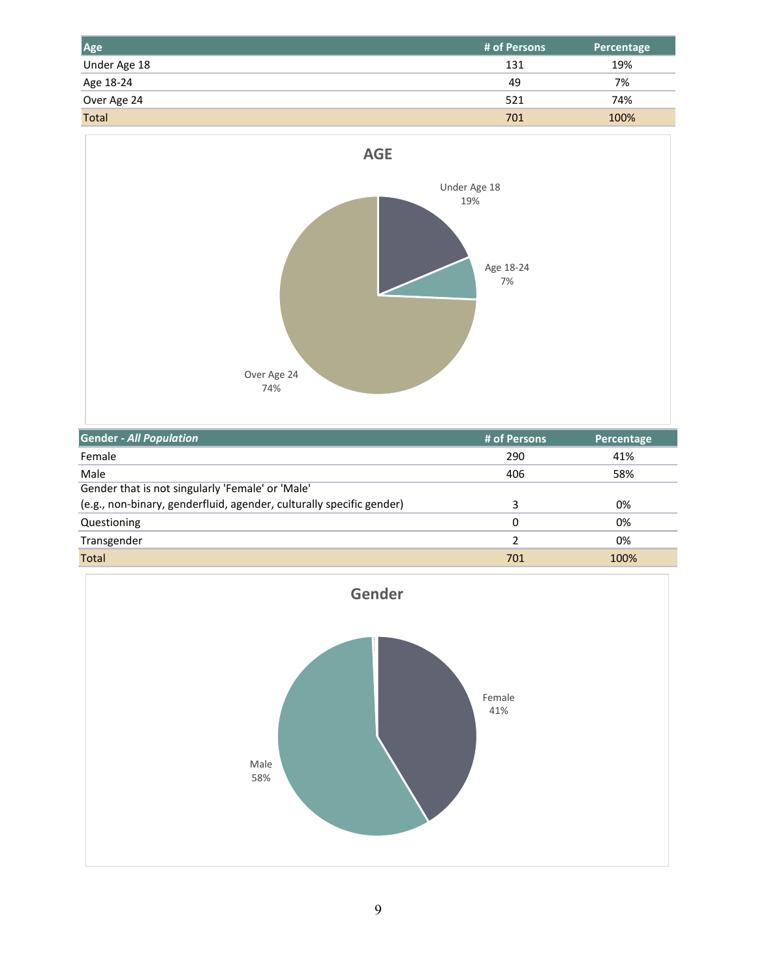| Age          | # of Persons | <b>Percentage</b> |
|--------------|--------------|-------------------|
| Under Age 18 | 131          | 19%               |
| Age 18-24    | 49           | 7%                |
| Over Age 24  | 521          | 74%               |
| <b>Total</b> | 701          | 100%              |



| <b>Gender - All Population</b>                                       | # of Persons | Percentage |
|----------------------------------------------------------------------|--------------|------------|
| Female                                                               | 290          | 41%        |
| Male                                                                 | 406          | 58%        |
| Gender that is not singularly 'Female' or 'Male'                     |              |            |
| (e.g., non-binary, genderfluid, agender, culturally specific gender) | 3            | 0%         |
| Questioning                                                          | 0            | 0%         |
| Transgender                                                          | 2            | 0%         |
| Total                                                                | 701          | 100%       |

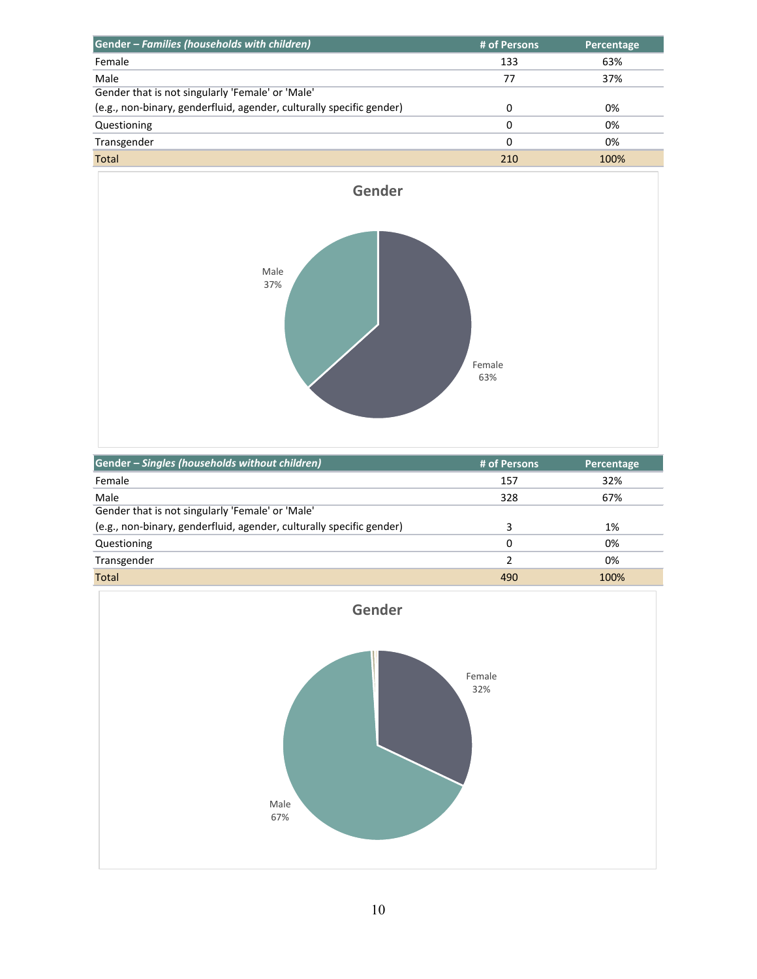| Gender - Families (households with children)                         | # of Persons | Percentage |
|----------------------------------------------------------------------|--------------|------------|
| Female                                                               | 133          | 63%        |
| Male                                                                 | 77           | 37%        |
| Gender that is not singularly 'Female' or 'Male'                     |              |            |
| (e.g., non-binary, genderfluid, agender, culturally specific gender) | 0            | 0%         |
| Questioning                                                          | 0            | 0%         |
| Transgender                                                          | 0            | 0%         |
| <b>Total</b>                                                         | 210          | 100%       |



| Gender - Singles (households without children)                       | # of Persons  | Percentage |
|----------------------------------------------------------------------|---------------|------------|
| Female                                                               | 157           | 32%        |
| Male                                                                 | 328           | 67%        |
| Gender that is not singularly 'Female' or 'Male'                     |               |            |
| (e.g., non-binary, genderfluid, agender, culturally specific gender) | 3             | 1%         |
| Questioning                                                          | 0             | 0%         |
| Transgender                                                          | $\mathcal{P}$ | 0%         |
| Total                                                                | 490           | 100%       |

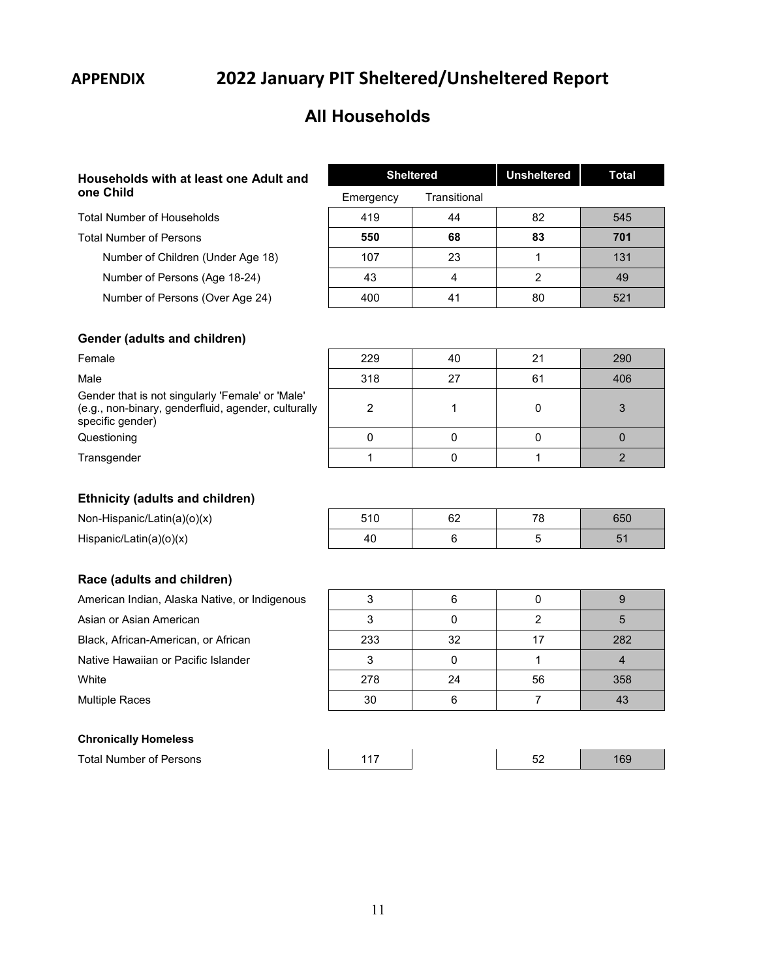# **APPENDIX 2022 January PIT Sheltered/Unsheltered Report**

# **All Households**

# **Households with at least one Adult and one Child**

Total Number of Households

Total Number of Persons **550 68 83 701**

Number of Children (Under Age 18)

Number of Persons (Age 18-24)

Number of Persons (Over Age 24)

### **Gender (adults and children)**

### **Ethnicity (adults and children)**

## **Race (adults and children)**

| American Indian, Alaska Native, or Indigenous |
|-----------------------------------------------|
| Asian or Asian American                       |
| Black, African-American, or African           |

### **Chronically Homeless**

| <b>Total Number of Persons</b> |  |
|--------------------------------|--|
|--------------------------------|--|

|           | <b>Sheltered</b> |    | Total |
|-----------|------------------|----|-------|
| Emergency | Transitional     |    |       |
| 419       | 44               | 82 | 545   |
| 550       | 68               | 83 | 701   |
| 107       | 23               |    | 131   |
| 43        |                  | 2  | 49    |
| 400       | 41               | 80 | 521   |

| Female                                                                                                                      | 229 | 40 | 21 | 290 |
|-----------------------------------------------------------------------------------------------------------------------------|-----|----|----|-----|
| Male                                                                                                                        | 318 | 27 | 61 | 406 |
| Gender that is not singularly 'Female' or 'Male'<br>(e.g., non-binary, genderfluid, agender, culturally<br>specific gender) |     |    |    |     |
| Questioning                                                                                                                 |     |    |    |     |
| Transgender                                                                                                                 |     |    |    |     |

| Non-Hispanic/Latin(a)(o)(x) | 510 | 60<br>୰୵ | 65C |
|-----------------------------|-----|----------|-----|
| Hispanic/Latin(a)(o)(x)     | 40  |          |     |

| 233 | 32 |    | 282 |
|-----|----|----|-----|
|     |    |    |     |
| 278 | 24 | 56 | 358 |
| 30  |    |    | 43  |
|     |    |    |     |

| Total Number of Persons |  | ັ |  |
|-------------------------|--|---|--|
|                         |  |   |  |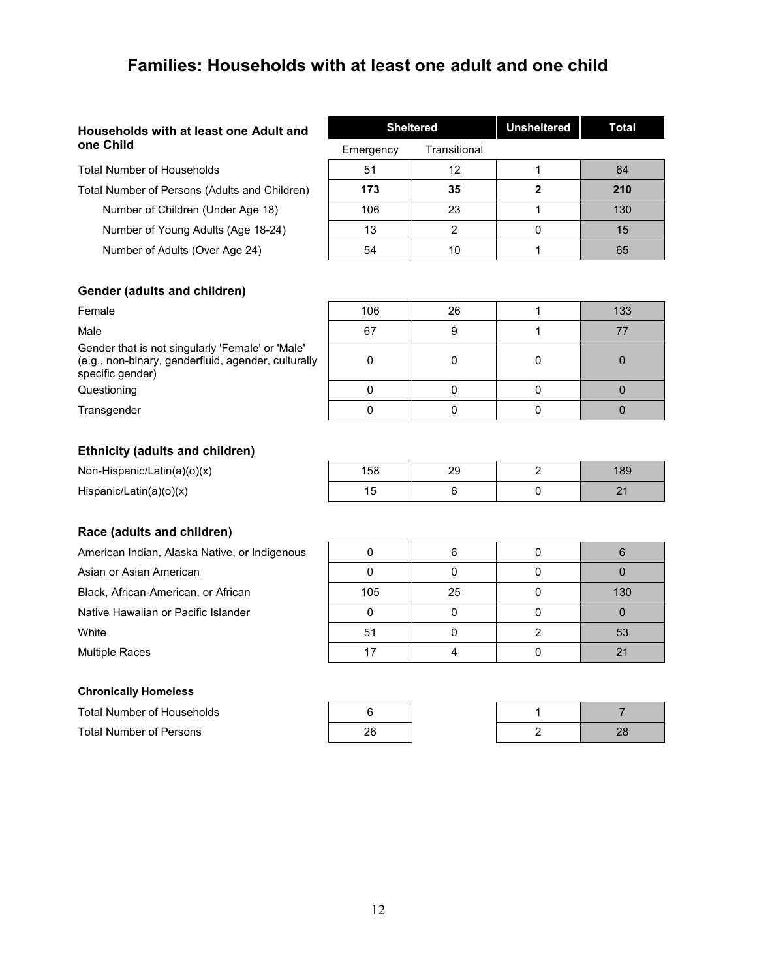# **Families: Households with at least one adult and one child**

### **Households with at least one Adult and one Child**

Total Number of Households

Total Number of Persons (Adults and Children) **173 35 2 210**

Number of Children (Under Age 18) Number of Young Adults (Age 18-24)

Number of Adults (Over Age 24)

|           | <b>Sheltered</b> |   | Total |
|-----------|------------------|---|-------|
| Emergency | Transitional     |   |       |
| 51        | 12               |   | 64    |
| 173       | 35               | 2 | 210   |
| 106       | 23               |   | 130   |
| 13        | 2                |   | 15    |
| 54        | 10               |   | 65    |

### **Gender (adults and children)**

| Female                                                                                                                      | 106 | 26 | 133 |
|-----------------------------------------------------------------------------------------------------------------------------|-----|----|-----|
| Male                                                                                                                        | 67  |    |     |
| Gender that is not singularly 'Female' or 'Male'<br>(e.g., non-binary, genderfluid, agender, culturally<br>specific gender) |     |    |     |
| Questioning                                                                                                                 |     |    |     |
| Transgender                                                                                                                 |     |    |     |

### **Ethnicity (adults and children)**

Non-Hispanic/Latin(a)( $o$ )(x)

Hispanic/Latin(a)(o)(x)

### **Race (adults and children)**

### **Chronically Homeless**

Total Number of Households

**Total Number of Persons** 

| 158       | 29 | 189 |
|-----------|----|-----|
| 15<br>. ت |    |     |

| American Indian, Alaska Native, or Indigenous |     |    |     |
|-----------------------------------------------|-----|----|-----|
| Asian or Asian American                       |     |    |     |
| Black, African-American, or African           | 105 | 25 | 130 |
| Native Hawaiian or Pacific Islander           |     |    |     |
| White                                         | -51 |    | 53  |
| <b>Multiple Races</b>                         |     |    |     |

| 6  |  |
|----|--|
| 26 |  |

| 28 |
|----|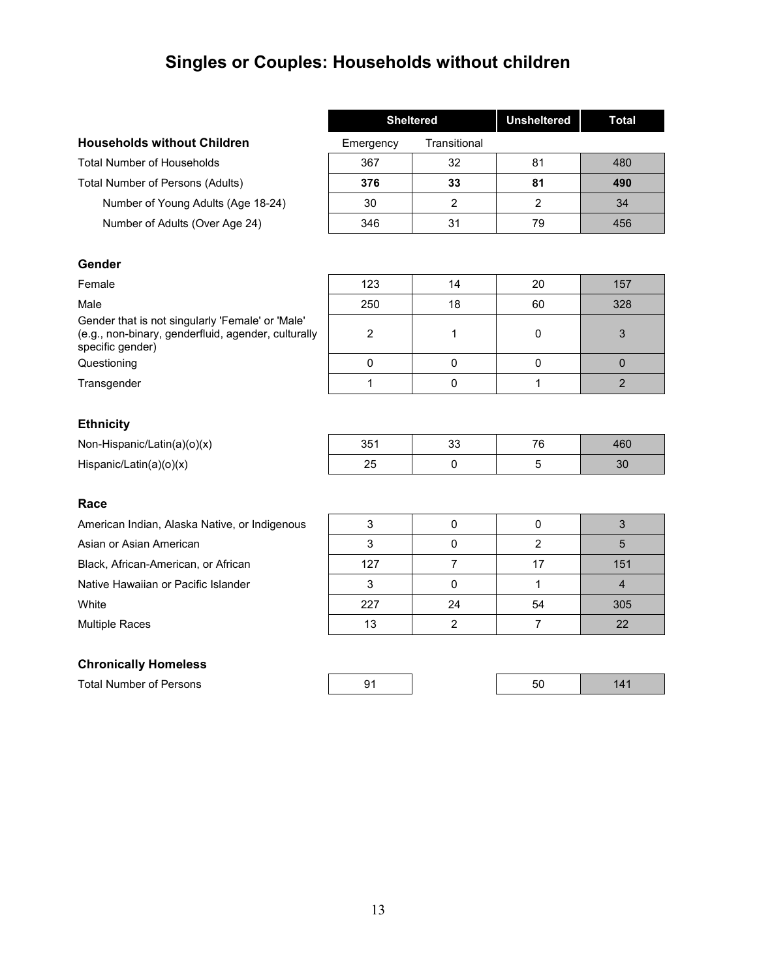# **Singles or Couples: Households without children**

|                                    |           | <b>Sheltered</b> | <b>Unsheltered</b> | Total |
|------------------------------------|-----------|------------------|--------------------|-------|
| <b>Households without Children</b> | Emergency | Transitional     |                    |       |
| <b>Total Number of Households</b>  | 367       | 32               | 81                 | 480   |
| Total Number of Persons (Adults)   | 376       | 33               | 81                 | 490   |
| Number of Young Adults (Age 18-24) | 30        | າ                |                    | 34    |
| Number of Adults (Over Age 24)     | 346       | 31               | 79                 | 456   |

### **Gender**

Female 123 14 20 157

Male 250 18 60 328

Gender that is not singularly 'Female' or 'Male' (e.g., non-binary, genderfluid, agender, culturally specific gender)

Questioning and a control of the control of the control of the control of the control of the control of the control of the control of the control of the control of the control of the control of the control of the control o

Transgender  $\begin{vmatrix} 1 & 1 \\ 0 & 1 \end{vmatrix}$  0 1 1 2

# **Ethnicity**

| Non-Hispanic/Latin(a)(o)(x) | つに・<br>ື | ົ<br>ັບ | $\overline{\phantom{a}}$ | 160 |
|-----------------------------|----------|---------|--------------------------|-----|
| Hispanic/Latin(a)(o)(x)     |          |         |                          | ບບ  |

### **Race**

### **Chronically Homeless**

Total Number of Persons

| American Indian, Alaska Native, or Indigenous |     |    |    |     |
|-----------------------------------------------|-----|----|----|-----|
| Asian or Asian American                       |     |    |    |     |
| Black, African-American, or African           | 127 |    |    | 151 |
| Native Hawaiian or Pacific Islander           |     |    |    |     |
| White                                         | 227 | 24 | 54 | 305 |
| Multiple Races                                | 13  |    |    | 22  |

2 1 0 3

|--|--|--|--|--|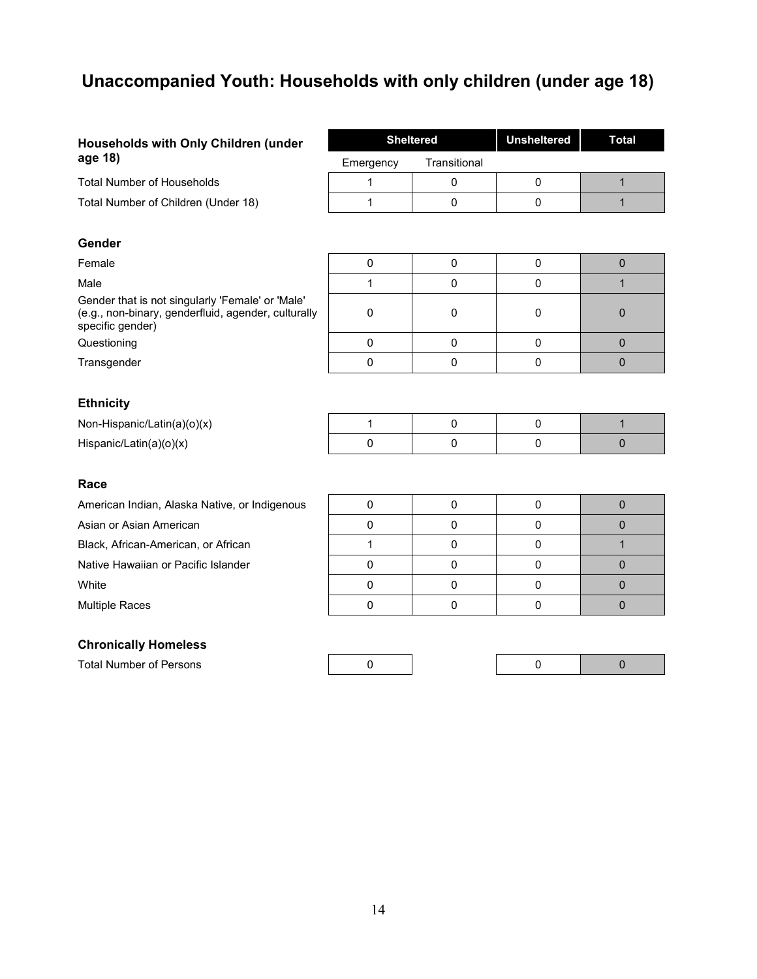# **Unaccompanied Youth: Households with only children (under age 18)**

| Households with Only Children (under                                                                                        | <b>Sheltered</b> |              | <b>Unsheltered</b> | <b>Total</b> |
|-----------------------------------------------------------------------------------------------------------------------------|------------------|--------------|--------------------|--------------|
| age 18)                                                                                                                     | Emergency        | Transitional |                    |              |
| <b>Total Number of Households</b>                                                                                           | 1                | $\mathbf 0$  | 0                  | $\mathbf{1}$ |
| Total Number of Children (Under 18)                                                                                         | 1                | $\mathbf 0$  | $\mathbf 0$        | $\mathbf{1}$ |
|                                                                                                                             |                  |              |                    |              |
| Gender                                                                                                                      |                  |              |                    |              |
| Female                                                                                                                      | $\pmb{0}$        | $\mathbf 0$  | $\mathbf 0$        | $\mathbf 0$  |
| Male                                                                                                                        | 1                | $\mathbf 0$  | $\mathbf 0$        | $\mathbf{1}$ |
| Gender that is not singularly 'Female' or 'Male'<br>(e.g., non-binary, genderfluid, agender, culturally<br>specific gender) | 0                | 0            | 0                  | $\mathbf 0$  |
| Questioning                                                                                                                 | $\mathbf 0$      | $\mathbf 0$  | $\mathbf 0$        | $\mathbf 0$  |
| Transgender                                                                                                                 | 0                | $\mathbf 0$  | $\mathbf 0$        | $\mathbf{0}$ |
|                                                                                                                             |                  |              |                    |              |
| <b>Ethnicity</b>                                                                                                            |                  |              |                    |              |
| Non-Hispanic/Latin(a)(o)(x)                                                                                                 | $\mathbf{1}$     | $\mathbf 0$  | $\pmb{0}$          | $\mathbf{1}$ |
| Hispanic/Latin(a)(o)(x)                                                                                                     | $\mathbf 0$      | $\mathbf 0$  | $\mathbf 0$        | $\mathbf{0}$ |
|                                                                                                                             |                  |              |                    |              |
| Race                                                                                                                        |                  |              |                    |              |
| American Indian, Alaska Native, or Indigenous                                                                               | $\pmb{0}$        | $\mathbf 0$  | $\pmb{0}$          | $\mathbf 0$  |
| Asian or Asian American                                                                                                     | 0                | $\mathbf 0$  | $\mathbf 0$        | $\mathbf 0$  |
| Black, African-American, or African                                                                                         | $\mathbf{1}$     | $\mathbf 0$  | $\mathbf 0$        | $\mathbf{1}$ |
| Native Hawaiian or Pacific Islander                                                                                         | 0                | $\mathbf 0$  | $\mathbf 0$        | $\mathbf 0$  |
| White                                                                                                                       | $\pmb{0}$        | $\mathbf 0$  | $\mathbf 0$        | $\mathbf{0}$ |
| <b>Multiple Races</b>                                                                                                       | $\mathbf 0$      | $\mathbf 0$  | $\mathbf 0$        | $\mathbf 0$  |
|                                                                                                                             |                  |              |                    |              |

### **Chronically Homeless**

Total Number of Persons 0 0 0